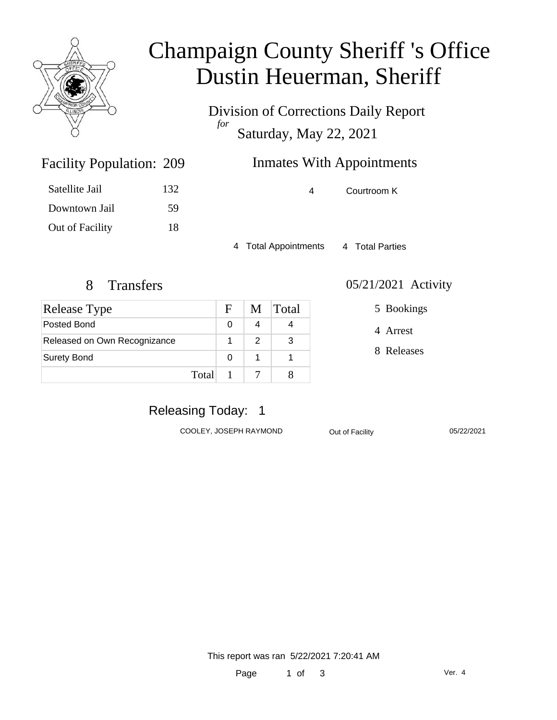

# Champaign County Sheriff 's Office Dustin Heuerman, Sheriff

Division of Corrections Daily Report *for* Saturday, May 22, 2021

# Inmates With Appointments

4 Courtroom K

4 Total Appointments 4 Total Parties

Facility Population: 209

Satellite Jail 132

Downtown Jail 59

Out of Facility 18

| <b>Release Type</b>          |       | F | M | Total |
|------------------------------|-------|---|---|-------|
| Posted Bond                  |       |   |   |       |
| Released on Own Recognizance |       |   | 2 | 3     |
| <b>Surety Bond</b>           |       | O |   |       |
|                              | Total |   |   |       |

#### 8 Transfers 05/21/2021 Activity

5 Bookings

4 Arrest

8 Releases

### Releasing Today: 1

COOLEY, JOSEPH RAYMOND Out of Facility 05/22/2021

This report was ran 5/22/2021 7:20:41 AM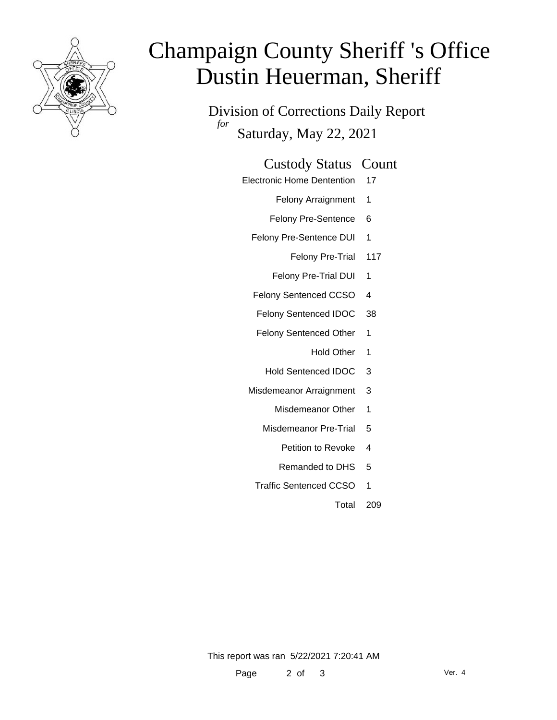

# Champaign County Sheriff 's Office Dustin Heuerman, Sheriff

Division of Corrections Daily Report *for* Saturday, May 22, 2021

#### Custody Status Count

Electronic Home Dentention 17

Felony Arraignment 1

- Felony Pre-Sentence 6
- Felony Pre-Sentence DUI 1
	- Felony Pre-Trial 117
	- Felony Pre-Trial DUI 1
- Felony Sentenced CCSO 4
- Felony Sentenced IDOC 38
- Felony Sentenced Other 1
	- Hold Other 1
	- Hold Sentenced IDOC 3
- Misdemeanor Arraignment 3
	- Misdemeanor Other 1
	- Misdemeanor Pre-Trial 5
		- Petition to Revoke 4
		- Remanded to DHS 5
	- Traffic Sentenced CCSO 1
		- Total 209